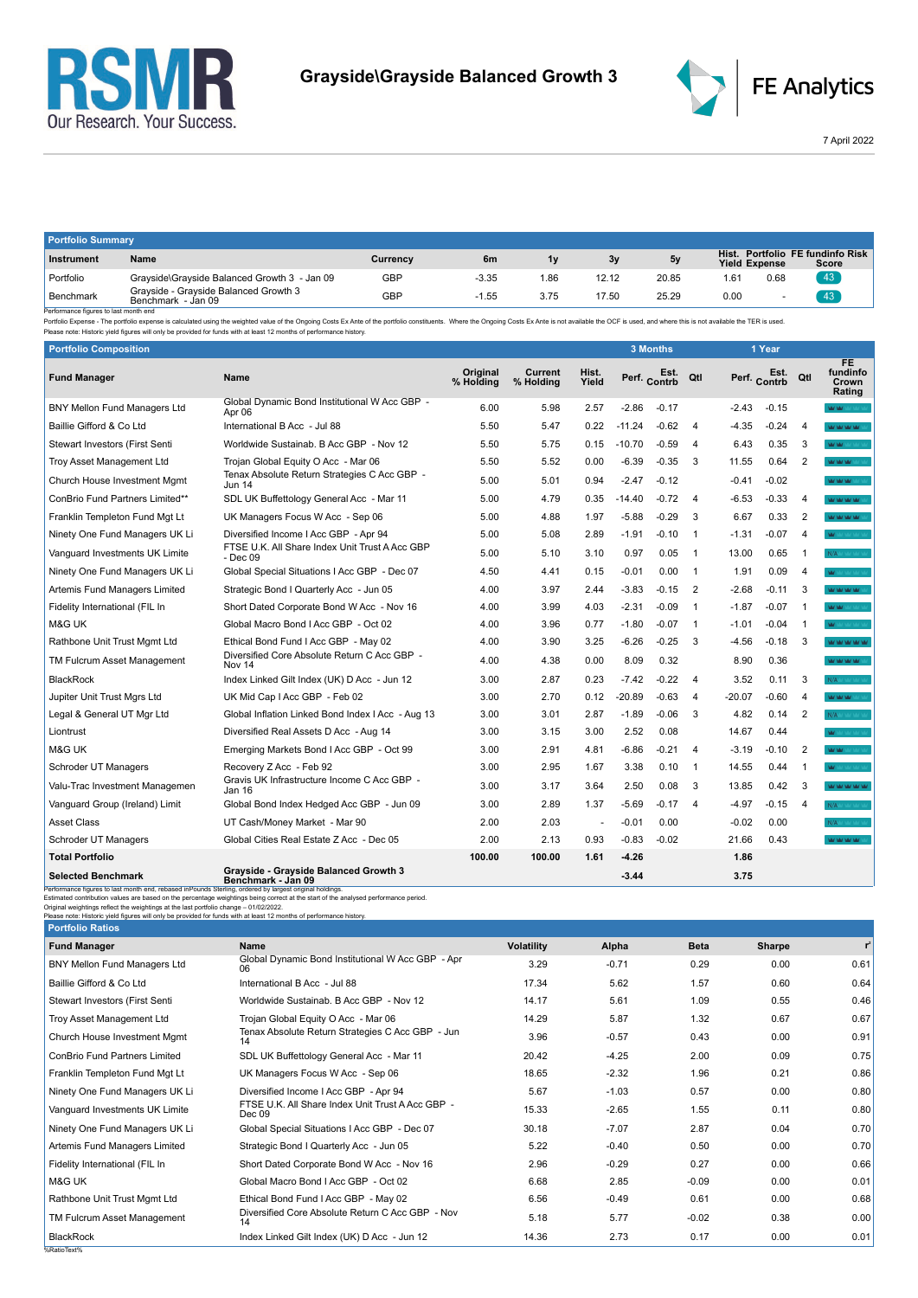



7 April 2022

| <b>Portfolio Summary</b> |                                                             |            |         |      |       |       |                               |      |                                     |  |
|--------------------------|-------------------------------------------------------------|------------|---------|------|-------|-------|-------------------------------|------|-------------------------------------|--|
| Instrument               | Name                                                        | Currency   | 6m      | 1v   | 3v    | 5v    | Hist.<br><b>Yield Expense</b> |      | Portfolio FE fundinfo Risk<br>Score |  |
| Portfolio                | Grayside\Grayside Balanced Growth 3 - Jan 09                | <b>GBP</b> | $-3.35$ | .86  | 12.12 | 20.85 | 1.61                          | 0.68 | 43                                  |  |
| ' Benchmark<br>.         | Gravside - Gravside Balanced Growth 3<br>Benchmark - Jan 09 | GBP        | $-1.55$ | 3.75 | 17.50 | 25.29 | 0.00                          |      | 43                                  |  |

Benchmark Benchmark Benchmark Benchmark Jan 09<br>Performance figures is last month end<br>Performance figures is alst month end<br>Please note: Historic yield figures will only be provided for funds with at least 12 months of perf

| <b>Portfolio Composition</b>                                                                                                                                                                                                                                                                                            |                                                                                                                                     |                       |                      |                |              | <b>3 Months</b> |                |          | 1 Year               |                |                                    |
|-------------------------------------------------------------------------------------------------------------------------------------------------------------------------------------------------------------------------------------------------------------------------------------------------------------------------|-------------------------------------------------------------------------------------------------------------------------------------|-----------------------|----------------------|----------------|--------------|-----------------|----------------|----------|----------------------|----------------|------------------------------------|
| <b>Fund Manager</b>                                                                                                                                                                                                                                                                                                     | <b>Name</b>                                                                                                                         | Original<br>% Holding | Current<br>% Holding | Hist.<br>Yield | Perf. Contrb | Est.            | Qtl            |          | Est.<br>Perf. Contrb | Qtl            | FE.<br>fundinfo<br>Crown<br>Rating |
| <b>BNY Mellon Fund Managers Ltd</b>                                                                                                                                                                                                                                                                                     | Global Dynamic Bond Institutional W Acc GBP -<br>Apr 06                                                                             | 6.00                  | 5.98                 | 2.57           | $-2.86$      | $-0.17$         |                | $-2.43$  | $-0.15$              |                | <b>WWW</b>                         |
| Baillie Gifford & Co Ltd                                                                                                                                                                                                                                                                                                | International B Acc - Jul 88                                                                                                        | 5.50                  | 5.47                 | 0.22           | $-11.24$     | $-0.62$         | $\overline{4}$ | $-4.35$  | $-0.24$              | 4              | MOMOROUSE                          |
| Stewart Investors (First Senti                                                                                                                                                                                                                                                                                          | Worldwide Sustainab. B Acc GBP - Nov 12                                                                                             | 5.50                  | 5.75                 | 0.15           | $-10.70$     | $-0.59$         | $\overline{4}$ | 6.43     | 0.35                 | 3              | <b>WAG</b>                         |
| Troy Asset Management Ltd                                                                                                                                                                                                                                                                                               | Trojan Global Equity O Acc - Mar 06                                                                                                 | 5.50                  | 5.52                 | 0.00           | $-6.39$      | $-0.35$         | 3              | 11.55    | 0.64                 | $\overline{2}$ | <b>MAY MAY MAY</b>                 |
| Church House Investment Mgmt                                                                                                                                                                                                                                                                                            | Tenax Absolute Return Strategies C Acc GBP -<br><b>Jun 14</b>                                                                       | 5.00                  | 5.01                 | 0.94           | $-2.47$      | $-0.12$         |                | $-0.41$  | $-0.02$              |                | <b>WOOD WOOD</b>                   |
| ConBrio Fund Partners Limited**                                                                                                                                                                                                                                                                                         | SDL UK Buffettology General Acc - Mar 11                                                                                            | 5.00                  | 4.79                 | 0.35           | $-14.40$     | $-0.72$         | $\overline{4}$ | $-6.53$  | $-0.33$              | $\overline{4}$ | <b>WAS MALLANT</b>                 |
| Franklin Templeton Fund Mgt Lt                                                                                                                                                                                                                                                                                          | UK Managers Focus W Acc - Sep 06                                                                                                    | 5.00                  | 4.88                 | 1.97           | $-5.88$      | $-0.29$         | 3              | 6.67     | 0.33                 | 2              | MOMORO MO                          |
| Ninety One Fund Managers UK Li                                                                                                                                                                                                                                                                                          | Diversified Income I Acc GBP - Apr 94                                                                                               | 5.00                  | 5.08                 | 2.89           | $-1.91$      | $-0.10$         | $\overline{1}$ | $-1.31$  | $-0.07$              | 4              |                                    |
| Vanguard Investments UK Limite                                                                                                                                                                                                                                                                                          | FTSE U.K. All Share Index Unit Trust A Acc GBP<br>- Dec 09                                                                          | 5.00                  | 5.10                 | 3.10           | 0.97         | 0.05            | $\overline{1}$ | 13.00    | 0.65                 | 1              | N/A MAY YOU                        |
| Ninety One Fund Managers UK Li                                                                                                                                                                                                                                                                                          | Global Special Situations I Acc GBP - Dec 07                                                                                        | 4.50                  | 4.41                 | 0.15           | $-0.01$      | 0.00            | $\overline{1}$ | 1.91     | 0.09                 | 4              | <b>MAY</b> MAY MAY MA              |
| Artemis Fund Managers Limited                                                                                                                                                                                                                                                                                           | Strategic Bond I Quarterly Acc - Jun 05                                                                                             | 4.00                  | 3.97                 | 2.44           | $-3.83$      | $-0.15$         | 2              | $-2.68$  | $-0.11$              | 3              | <b>WOM OF SAF</b>                  |
| Fidelity International (FIL In                                                                                                                                                                                                                                                                                          | Short Dated Corporate Bond W Acc - Nov 16                                                                                           | 4.00                  | 3.99                 | 4.03           | $-2.31$      | $-0.09$         | $\overline{1}$ | $-1.87$  | $-0.07$              | 1              | WM <sup>1</sup>                    |
| M&G UK                                                                                                                                                                                                                                                                                                                  | Global Macro Bond I Acc GBP - Oct 02                                                                                                | 4.00                  | 3.96                 | 0.77           | $-1.80$      | $-0.07$         | $\overline{1}$ | $-1.01$  | $-0.04$              | $\mathbf 1$    |                                    |
| Rathbone Unit Trust Mgmt Ltd                                                                                                                                                                                                                                                                                            | Ethical Bond Fund I Acc GBP - May 02                                                                                                | 4.00                  | 3.90                 | 3.25           | -6.26        | $-0.25$         | 3              | $-4.56$  | $-0.18$              | 3              | <b>WOM WORK WAS TIME</b>           |
| TM Fulcrum Asset Management                                                                                                                                                                                                                                                                                             | Diversified Core Absolute Return C Acc GBP -<br>Nov 14                                                                              | 4.00                  | 4.38                 | 0.00           | 8.09         | 0.32            |                | 8.90     | 0.36                 |                | <b>WAS MAY WAY</b>                 |
| <b>BlackRock</b>                                                                                                                                                                                                                                                                                                        | Index Linked Gilt Index (UK) D Acc - Jun 12                                                                                         | 3.00                  | 2.87                 | 0.23           | $-7.42$      | $-0.22$         | $\overline{4}$ | 3.52     | 0.11                 | 3              | N/A <b>King</b>                    |
| Jupiter Unit Trust Mgrs Ltd                                                                                                                                                                                                                                                                                             | UK Mid Cap I Acc GBP - Feb 02                                                                                                       | 3.00                  | 2.70                 | 0.12           | $-20.89$     | $-0.63$         | $\overline{4}$ | $-20.07$ | -0.60                | 4              | MOMOR MAY                          |
| Legal & General UT Mgr Ltd                                                                                                                                                                                                                                                                                              | Global Inflation Linked Bond Index I Acc - Aug 13                                                                                   | 3.00                  | 3.01                 | 2.87           | $-1.89$      | $-0.06$         | 3              | 4.82     | 0.14                 | $\overline{2}$ | N/A Marian                         |
| Liontrust                                                                                                                                                                                                                                                                                                               | Diversified Real Assets D Acc - Aug 14                                                                                              | 3.00                  | 3.15                 | 3.00           | 2.52         | 0.08            |                | 14.67    | 0.44                 |                | <b>MAY</b> MAY MAY MAY M           |
| M&G UK                                                                                                                                                                                                                                                                                                                  | Emerging Markets Bond I Acc GBP - Oct 99                                                                                            | 3.00                  | 2.91                 | 4.81           | -6.86        | $-0.21$         | $\overline{4}$ | $-3.19$  | -0.10                | $\overline{2}$ | MOM !                              |
| Schroder UT Managers                                                                                                                                                                                                                                                                                                    | Recovery Z Acc - Feb 92                                                                                                             | 3.00                  | 2.95                 | 1.67           | 3.38         | 0.10            | -1             | 14.55    | 0.44                 | $\mathbf 1$    | May had had had                    |
| Valu-Trac Investment Managemen                                                                                                                                                                                                                                                                                          | Gravis UK Infrastructure Income C Acc GBP -<br>Jan 16                                                                               | 3.00                  | 3.17                 | 3.64           | 2.50         | 0.08            | 3              | 13.85    | 0.42                 | 3              | <b>WOOD WORK WAS TRAN</b>          |
| Vanguard Group (Ireland) Limit                                                                                                                                                                                                                                                                                          | Global Bond Index Hedged Acc GBP - Jun 09                                                                                           | 3.00                  | 2.89                 | 1.37           | $-5.69$      | $-0.17$         | $\overline{4}$ | $-4.97$  | $-0.15$              | 4              | N/A <b>Marian</b>                  |
| <b>Asset Class</b>                                                                                                                                                                                                                                                                                                      | UT Cash/Money Market - Mar 90                                                                                                       | 2.00                  | 2.03                 | $\blacksquare$ | $-0.01$      | 0.00            |                | $-0.02$  | 0.00                 |                | N/A Y Y Y                          |
| Schroder UT Managers                                                                                                                                                                                                                                                                                                    | Global Cities Real Estate Z Acc - Dec 05                                                                                            | 2.00                  | 2.13                 | 0.93           | $-0.83$      | $-0.02$         |                | 21.66    | 0.43                 |                | <b>WAS NOT WANT WANT</b>           |
| <b>Total Portfolio</b>                                                                                                                                                                                                                                                                                                  |                                                                                                                                     | 100.00                | 100.00               | 1.61           | $-4.26$      |                 |                | 1.86     |                      |                |                                    |
| <b>Selected Benchmark</b>                                                                                                                                                                                                                                                                                               | Grayside - Grayside Balanced Growth 3<br>Benchmark - Jan 09                                                                         |                       |                      |                | $-3.44$      |                 |                | 3.75     |                      |                |                                    |
| Performance figures to last month end, rebased inPounds Sterling, ordered by largest original holdings.<br>Original weightings reflect the weightings at the last portfolio change - 01/02/2022.<br>Please note: Historic yield figures will only be provided for funds with at least 12 months of performance history. | Estimated contribution values are based on the percentage weightings being correct at the start of the analysed performance period. |                       |                      |                |              |                 |                |          |                      |                |                                    |
| <b>Portfolio Ratios</b>                                                                                                                                                                                                                                                                                                 |                                                                                                                                     |                       |                      |                |              |                 |                |          |                      |                |                                    |

%RatioText%

| Portfolio Ratios                     |                                                            |                   |         |             |        |       |
|--------------------------------------|------------------------------------------------------------|-------------------|---------|-------------|--------|-------|
| <b>Fund Manager</b>                  | Name                                                       | <b>Volatility</b> | Alpha   | <b>Beta</b> | Sharpe | $r^2$ |
| <b>BNY Mellon Fund Managers Ltd</b>  | Global Dynamic Bond Institutional W Acc GBP - Apr<br>06    | 3.29              | $-0.71$ | 0.29        | 0.00   | 0.61  |
| Baillie Gifford & Co Ltd             | International B Acc - Jul 88                               | 17.34             | 5.62    | 1.57        | 0.60   | 0.64  |
| Stewart Investors (First Senti       | Worldwide Sustainab, B Acc GBP - Nov 12                    | 14.17             | 5.61    | 1.09        | 0.55   | 0.46  |
| Troy Asset Management Ltd            | Trojan Global Equity O Acc - Mar 06                        | 14.29             | 5.87    | 1.32        | 0.67   | 0.67  |
| Church House Investment Mgmt         | Tenax Absolute Return Strategies C Acc GBP - Jun<br>14     | 3.96              | $-0.57$ | 0.43        | 0.00   | 0.91  |
| <b>ConBrio Fund Partners Limited</b> | SDL UK Buffettology General Acc - Mar 11                   | 20.42             | $-4.25$ | 2.00        | 0.09   | 0.75  |
| Franklin Templeton Fund Mgt Lt       | UK Managers Focus W Acc - Sep 06                           | 18.65             | $-2.32$ | 1.96        | 0.21   | 0.86  |
| Ninety One Fund Managers UK Li       | Diversified Income I Acc GBP - Apr 94                      | 5.67              | $-1.03$ | 0.57        | 0.00   | 0.80  |
| Vanguard Investments UK Limite       | FTSE U.K. All Share Index Unit Trust A Acc GBP -<br>Dec 09 | 15.33             | $-2.65$ | 1.55        | 0.11   | 0.80  |
| Ninety One Fund Managers UK Li       | Global Special Situations I Acc GBP - Dec 07               | 30.18             | $-7.07$ | 2.87        | 0.04   | 0.70  |
| Artemis Fund Managers Limited        | Strategic Bond I Quarterly Acc - Jun 05                    | 5.22              | $-0.40$ | 0.50        | 0.00   | 0.70  |
| Fidelity International (FIL In       | Short Dated Corporate Bond W Acc - Nov 16                  | 2.96              | $-0.29$ | 0.27        | 0.00   | 0.66  |
| M&G UK                               | Global Macro Bond I Acc GBP - Oct 02                       | 6.68              | 2.85    | $-0.09$     | 0.00   | 0.01  |
| Rathbone Unit Trust Mgmt Ltd         | Ethical Bond Fund I Acc GBP - May 02                       | 6.56              | $-0.49$ | 0.61        | 0.00   | 0.68  |
| TM Fulcrum Asset Management          | Diversified Core Absolute Return C Acc GBP - Nov<br>14     | 5.18              | 5.77    | $-0.02$     | 0.38   | 0.00  |
| <b>BlackRock</b>                     | Index Linked Gilt Index (UK) D Acc - Jun 12                | 14.36             | 2.73    | 0.17        | 0.00   | 0.01  |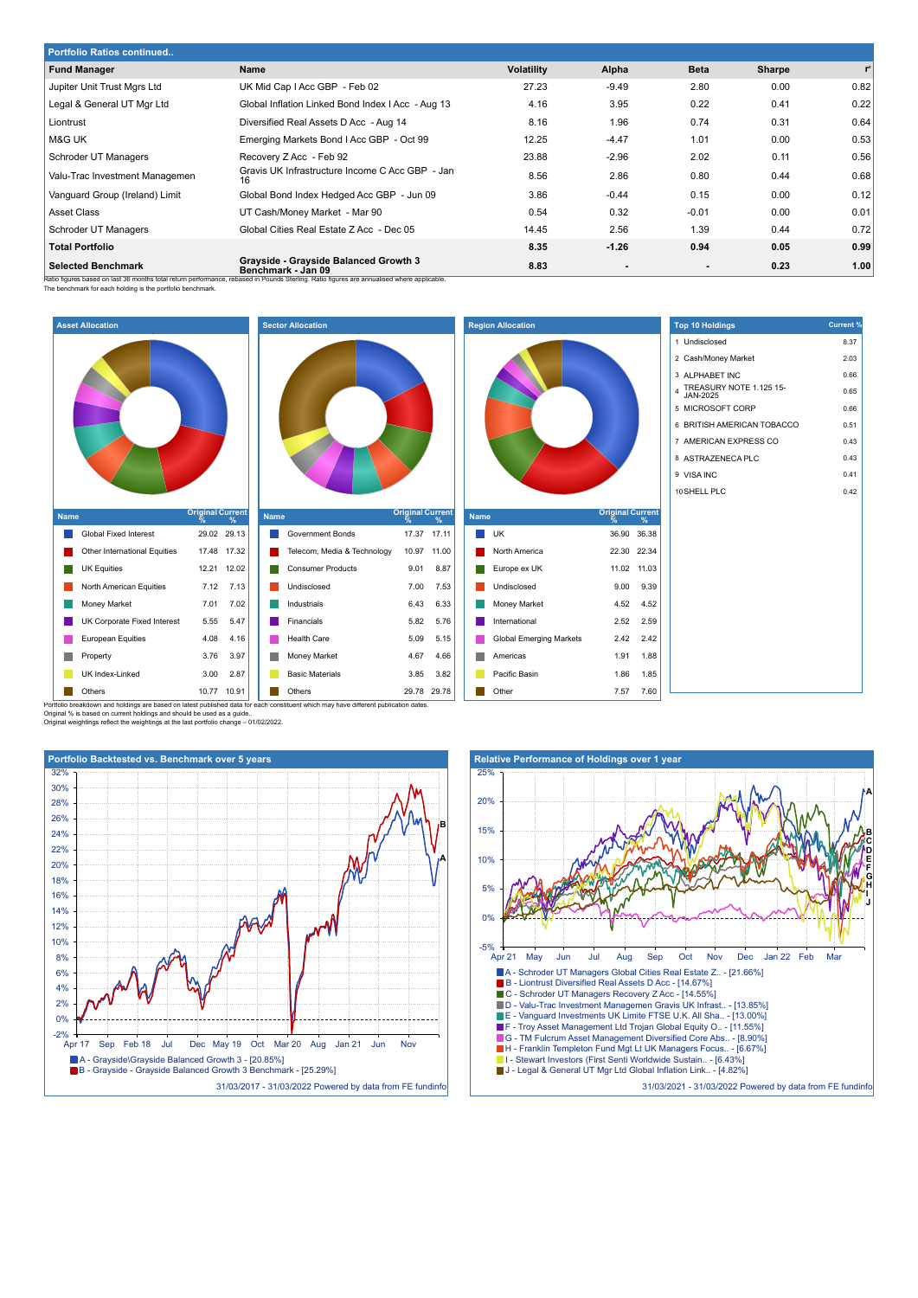| <b>Portfolio Ratios continued</b> |                                                                                                                                                                                                            |                   |                |             |        |                |  |  |
|-----------------------------------|------------------------------------------------------------------------------------------------------------------------------------------------------------------------------------------------------------|-------------------|----------------|-------------|--------|----------------|--|--|
| <b>Fund Manager</b>               | Name                                                                                                                                                                                                       | <b>Volatility</b> | Alpha          | <b>Beta</b> | Sharpe | $\mathbf{r}^2$ |  |  |
| Jupiter Unit Trust Mgrs Ltd       | UK Mid Cap I Acc GBP - Feb 02                                                                                                                                                                              | 27.23             | $-9.49$        | 2.80        | 0.00   | 0.82           |  |  |
| Legal & General UT Mgr Ltd        | Global Inflation Linked Bond Index I Acc - Aug 13                                                                                                                                                          | 4.16              | 3.95           | 0.22        | 0.41   | 0.22           |  |  |
| Liontrust                         | Diversified Real Assets D Acc - Aug 14                                                                                                                                                                     | 8.16              | 1.96           | 0.74        | 0.31   | 0.64           |  |  |
| M&G UK                            | Emerging Markets Bond I Acc GBP - Oct 99                                                                                                                                                                   | 12.25             | $-4.47$        | 1.01        | 0.00   | 0.53           |  |  |
| Schroder UT Managers              | Recovery Z Acc - Feb 92                                                                                                                                                                                    | 23.88             | $-2.96$        | 2.02        | 0.11   | 0.56           |  |  |
| Valu-Trac Investment Managemen    | Gravis UK Infrastructure Income C Acc GBP - Jan<br>16                                                                                                                                                      | 8.56              | 2.86           | 0.80        | 0.44   | 0.68           |  |  |
| Vanguard Group (Ireland) Limit    | Global Bond Index Hedged Acc GBP - Jun 09                                                                                                                                                                  | 3.86              | $-0.44$        | 0.15        | 0.00   | 0.12           |  |  |
| <b>Asset Class</b>                | UT Cash/Money Market - Mar 90                                                                                                                                                                              | 0.54              | 0.32           | $-0.01$     | 0.00   | 0.01           |  |  |
| Schroder UT Managers              | Global Cities Real Estate Z Acc - Dec 05                                                                                                                                                                   | 14.45             | 2.56           | 1.39        | 0.44   | 0.72           |  |  |
| <b>Total Portfolio</b>            |                                                                                                                                                                                                            | 8.35              | $-1.26$        | 0.94        | 0.05   | 0.99           |  |  |
| <b>Selected Benchmark</b>         | Grayside - Grayside Balanced Growth 3<br>Benchmark - Jan 09<br>Patio figures based on last 36 months total return performance, rebased in Pounds Sterling. Patio figures are annualised where annualceble. | 8.83              | $\blacksquare$ |             | 0.23   | 1.00           |  |  |

Ratio figures based on last 36 months total return performance, rebased in Pounds Sterling. Ratio figures are annualised where applicable.<br>The benchmark for each holding is the portfolio benchmark.



Portfolio breakdown and holdings are based on latest published data for each constituent which may have different publication dates<br>Original % is based on current holdings and should be used as a guide..<br>Original weighting